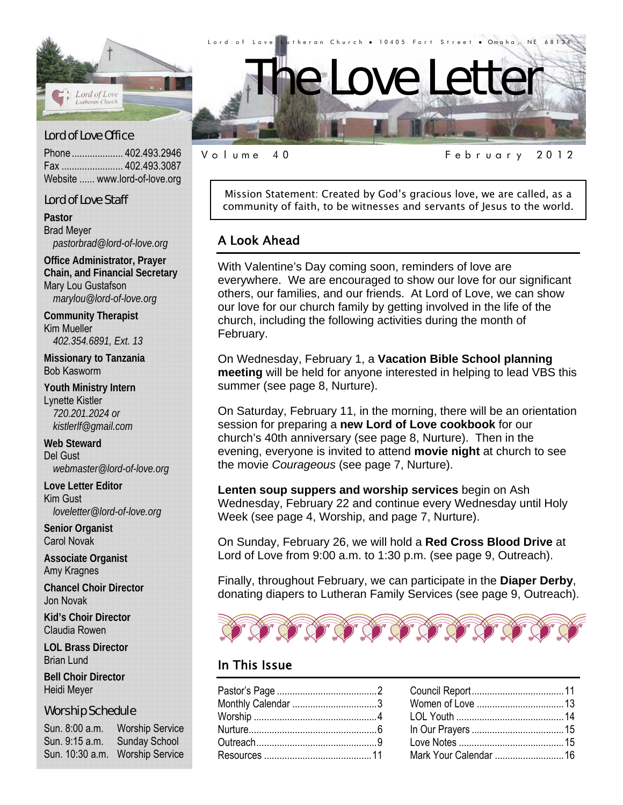

d.

Phone .................... 402.493.2946 Fax ........................ 402.493.3087 Website ...... www.lord-of-love.org

#### Lord of Love Staff

**Pastor**  Brad Meyer *pastorbrad@lord-of-love.org* 

**Office Administrator, Prayer Chain, and Financial Secretary**  Mary Lou Gustafson *marylou@lord-of-love.org* 

**Community Therapist**  Kim Mueller *402.354.6891, Ext. 13* 

**Missionary to Tanzania**  Bob Kasworm

**Youth Ministry Intern**  Lynette Kistler *720.201.2024 or kistlerlf@gmail.com* 

**Web Steward**  Del Gust *webmaster@lord-of-love.org* 

**Love Letter Editor**  Kim Gust *loveletter@lord-of-love.org* 

**Senior Organist**  Carol Novak

**Associate Organist**  Amy Kragnes

**Chancel Choir Director**  Jon Novak

**Kid's Choir Director**  Claudia Rowen

**LOL Brass Director**  Brian Lund

**Bell Choir Director**  Heidi Meyer

#### Worship Schedule

Sun. 8:00 a.m. Worship Service Sun. 9:15 a.m. Sunday School Sun. 10:30 a.m. Worship Service

Volume 40 February 2012

Mission Statement: Created by God's gracious love, we are called, as a community of faith, to be witnesses and servants of Jesus to the world.

#### A Look Ahead

With Valentine's Day coming soon, reminders of love are everywhere. We are encouraged to show our love for our significant others, our families, and our friends. At Lord of Love, we can show our love for our church family by getting involved in the life of the church, including the following activities during the month of February.

On Wednesday, February 1, a **Vacation Bible School planning meeting** will be held for anyone interested in helping to lead VBS this summer (see page 8, Nurture).

On Saturday, February 11, in the morning, there will be an orientation session for preparing a **new Lord of Love cookbook** for our church's 40th anniversary (see page 8, Nurture). Then in the evening, everyone is invited to attend **movie night** at church to see the movie *Courageous* (see page 7, Nurture).

**Lenten soup suppers and worship services** begin on Ash Wednesday, February 22 and continue every Wednesday until Holy Week (see page 4, Worship, and page 7, Nurture).

On Sunday, February 26, we will hold a **Red Cross Blood Drive** at Lord of Love from 9:00 a.m. to 1:30 p.m. (see page 9, Outreach).

Finally, throughout February, we can participate in the **Diaper Derby**, donating diapers to Lutheran Family Services (see page 9, Outreach).



#### In This Issue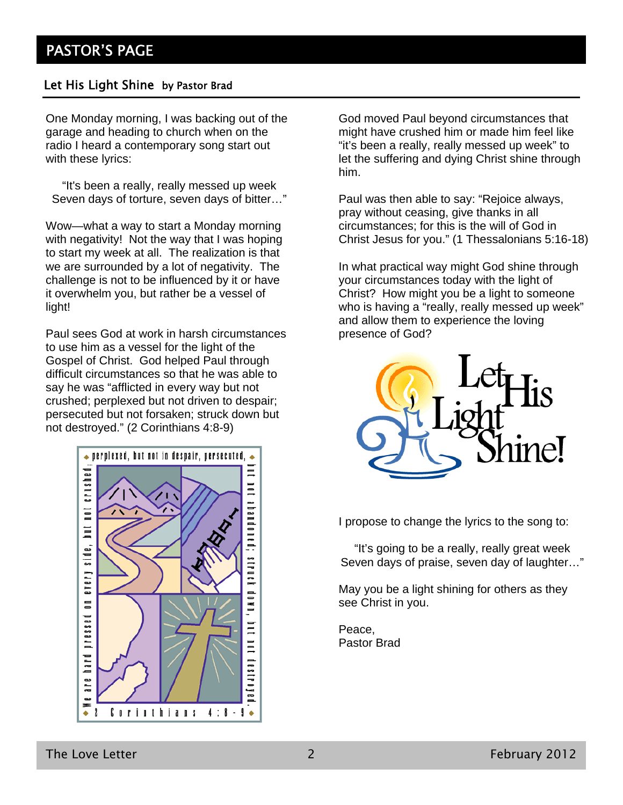#### Let His Light Shine by Pastor Brad

One Monday morning, I was backing out of the garage and heading to church when on the radio I heard a contemporary song start out with these lyrics:

"It's been a really, really messed up week Seven days of torture, seven days of bitter…"

Wow—what a way to start a Monday morning with negativity! Not the way that I was hoping to start my week at all. The realization is that we are surrounded by a lot of negativity. The challenge is not to be influenced by it or have it overwhelm you, but rather be a vessel of light!

Paul sees God at work in harsh circumstances to use him as a vessel for the light of the Gospel of Christ. God helped Paul through difficult circumstances so that he was able to say he was "afflicted in every way but not crushed; perplexed but not driven to despair; persecuted but not forsaken; struck down but not destroyed." (2 Corinthians 4:8-9)



God moved Paul beyond circumstances that might have crushed him or made him feel like "it's been a really, really messed up week" to let the suffering and dying Christ shine through him.

Paul was then able to say: "Rejoice always, pray without ceasing, give thanks in all circumstances; for this is the will of God in Christ Jesus for you." (1 Thessalonians 5:16-18)

In what practical way might God shine through your circumstances today with the light of Christ? How might you be a light to someone who is having a "really, really messed up week" and allow them to experience the loving presence of God?



I propose to change the lyrics to the song to:

"It's going to be a really, really great week Seven days of praise, seven day of laughter…"

May you be a light shining for others as they see Christ in you.

Peace, Pastor Brad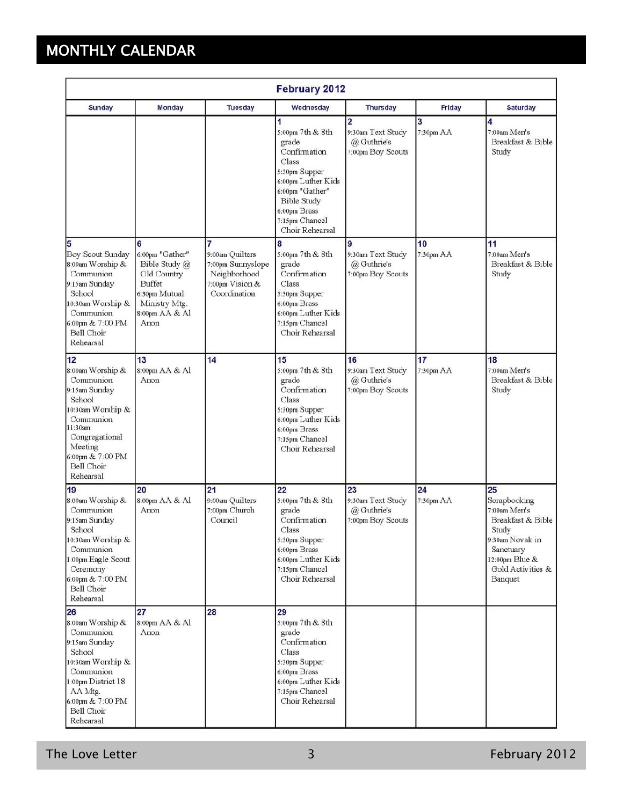# MONTHLY CALENDAR

| <b>February 2012</b>                                                                                                                                                                           |                                                                                                                                   |                                                                                              |                                                                                                                                                                                              |                                                                         |                 |                                                                                                                                                    |
|------------------------------------------------------------------------------------------------------------------------------------------------------------------------------------------------|-----------------------------------------------------------------------------------------------------------------------------------|----------------------------------------------------------------------------------------------|----------------------------------------------------------------------------------------------------------------------------------------------------------------------------------------------|-------------------------------------------------------------------------|-----------------|----------------------------------------------------------------------------------------------------------------------------------------------------|
| <b>Sunday</b>                                                                                                                                                                                  | Monday                                                                                                                            | <b>Tuesday</b>                                                                               | Wednesday                                                                                                                                                                                    | <b>Thursday</b>                                                         | Friday          | <b>Saturday</b>                                                                                                                                    |
|                                                                                                                                                                                                |                                                                                                                                   |                                                                                              | 1<br>5:00pm 7th & 8th<br>grade<br>Confirmation<br>Class<br>5:30pm Supper<br>6:00pm Luther Kids<br>6:00pm "Gather"<br><b>Bible Study</b><br>6:00pm Brass<br>7:15pm Chancel<br>Choir Rehearsal | $\overline{2}$<br>9:30am Text Study<br>@ Guthrie's<br>7:00pm Boy Scouts | 3<br>7:30pm AA  | 4<br>7:00am Men's<br>Breakfast & Bible<br>Study                                                                                                    |
| 5<br>Boy Scout Sunday<br>8:00am Worship &<br>Communion<br>9:15am Sunday<br>School<br>10:30am Worship &<br>Communion<br>6:00pm & 7:00 PM<br>Bell Choir<br>Rehearsal                             | 6<br>6:00pm "Gather"<br>Bible Study @<br>Old Country<br><b>Buffet</b><br>6:30pm Mutual<br>Ministry Mtg.<br>8:00pm AA & Al<br>Anon | 7<br>9:00am Quilters<br>7:00pm Sunnyslope<br>Neighborhood<br>7:00pm Vision &<br>Coordination | 8<br>5:00pm 7th & 8th<br>grade<br>Confirmation<br>Class<br>5:30pm Supper<br>6:00pm Brass<br>6:00pm Luther Kids<br>7:15pm Chancel<br>Choir Rehearsal                                          | 9<br>9:30am Text Study<br>@ Guthrie's<br>7:00pm Boy Scouts              | 10<br>7:30pm AA | 11<br>7:00am Men's<br>Breakfast & Bible<br>Study                                                                                                   |
| 12<br>8:00am Worship &<br>Communion<br>9:15am Sunday<br>School<br>10:30am Worship &<br>Communion<br>11:30am<br>Congregational<br>Meeting<br>6:00pm & 7:00 PM<br><b>Bell Choir</b><br>Rehearsal | 13<br>8:00pm AA & Al<br>Anon                                                                                                      | 14                                                                                           | 15<br>5:00pm 7th & 8th<br>grade<br>Confirmation<br>Class<br>5:30pm Supper<br>6:00pm Luther Kids<br>6:00pm Brass<br>7:15pm Chancel<br>Choir Rehearsal                                         | 16<br>9:30am Text Study<br>@ Guthrie's<br>7:00pm Boy Scouts             | 17<br>7:30pm AA | 18<br>7:00am Men's<br>Breakfast & Bible<br>Study                                                                                                   |
| 19<br>8:00am Worship &<br>Communion<br>9:15am Sunday<br>School<br>10:30am Worship &<br>Communion<br>1:00pm Eagle Scout<br>Ceremony<br>6:00pm & 7:00 PM<br>Bell Choir<br>Rehearsal              | 20<br>8:00pm AA & Al<br>Anon                                                                                                      | 21<br>9:00am Quilters<br>7:00pm Church<br>Council                                            | 22<br>5:00pm 7th & 8th<br>grade<br>Confirmation<br>Class<br>5:30pm Supper<br>6:00pm Brass<br>6:00pm Luther Kids<br>7:15pm Chancel<br>Choir Rehearsal                                         | 23<br>9:30am Text Study<br>@ Guthrie's<br>7:00pm Boy Scouts             | 24<br>7:30pm AA | 25<br>Scrapbooking<br>7:00am Men's<br>Breakfast & Bible<br>Study<br>9:30am Novak in<br>Sanctuary<br>12:00pm Blue &<br>Gold Activities &<br>Banquet |
| 26<br>8:00am Worship &<br>Communion<br>9:15am Sunday<br>School<br>10:30am Worship &<br>Communion<br>1:00pm District 18<br>AA Mtg.<br>6:00pm & 7:00 PM<br>Bell Choir<br>Rehearsal               | 27<br>8:00pm AA & Al<br>Anon                                                                                                      | 28                                                                                           | 29<br>5:00pm 7th & 8th<br>grade<br>Confirmation<br>Class<br>5:30pm Supper<br>6:00pm Brass<br>6:00pm Luther Kids<br>7:15pm Chancel<br>Choir Rehearsal                                         |                                                                         |                 |                                                                                                                                                    |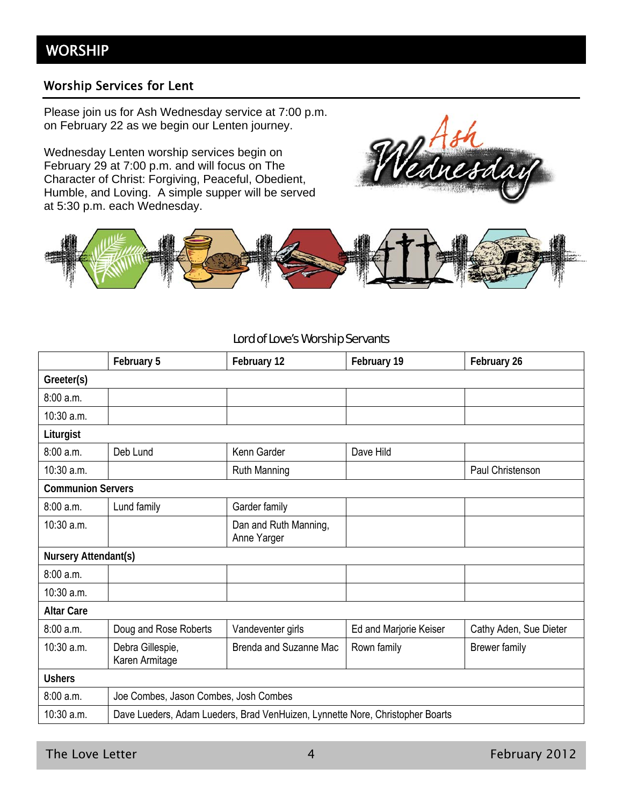#### Worship Services for Lent

Please join us for Ash Wednesday service at 7:00 p.m. on February 22 as we begin our Lenten journey.

Wednesday Lenten worship services begin on February 29 at 7:00 p.m. and will focus on The Character of Christ: Forgiving, Peaceful, Obedient, Humble, and Loving. A simple supper will be served at 5:30 p.m. each Wednesday.





#### Lord of Love's Worship Servants

|                          | February 5                                                                    | February 12                          | February 19            | February 26            |
|--------------------------|-------------------------------------------------------------------------------|--------------------------------------|------------------------|------------------------|
| Greeter(s)               |                                                                               |                                      |                        |                        |
| 8:00a.m.                 |                                                                               |                                      |                        |                        |
| 10:30 a.m.               |                                                                               |                                      |                        |                        |
| Liturgist                |                                                                               |                                      |                        |                        |
| 8:00a.m.                 | Deb Lund                                                                      | Kenn Garder                          | Dave Hild              |                        |
| 10:30 a.m.               |                                                                               | <b>Ruth Manning</b>                  |                        | Paul Christenson       |
| <b>Communion Servers</b> |                                                                               |                                      |                        |                        |
| 8:00 a.m.                | Lund family                                                                   | Garder family                        |                        |                        |
| 10:30 a.m.               |                                                                               | Dan and Ruth Manning,<br>Anne Yarger |                        |                        |
| Nursery Attendant(s)     |                                                                               |                                      |                        |                        |
| 8:00a.m.                 |                                                                               |                                      |                        |                        |
| 10:30 a.m.               |                                                                               |                                      |                        |                        |
| <b>Altar Care</b>        |                                                                               |                                      |                        |                        |
| 8:00 a.m.                | Doug and Rose Roberts                                                         | Vandeventer girls                    | Ed and Marjorie Keiser | Cathy Aden, Sue Dieter |
| 10:30 a.m.               | Debra Gillespie,<br>Karen Armitage                                            | <b>Brenda and Suzanne Mac</b>        | Rown family            | <b>Brewer family</b>   |
| <b>Ushers</b>            |                                                                               |                                      |                        |                        |
| 8:00 a.m.                | Joe Combes, Jason Combes, Josh Combes                                         |                                      |                        |                        |
| 10:30 a.m.               | Dave Lueders, Adam Lueders, Brad VenHuizen, Lynnette Nore, Christopher Boarts |                                      |                        |                        |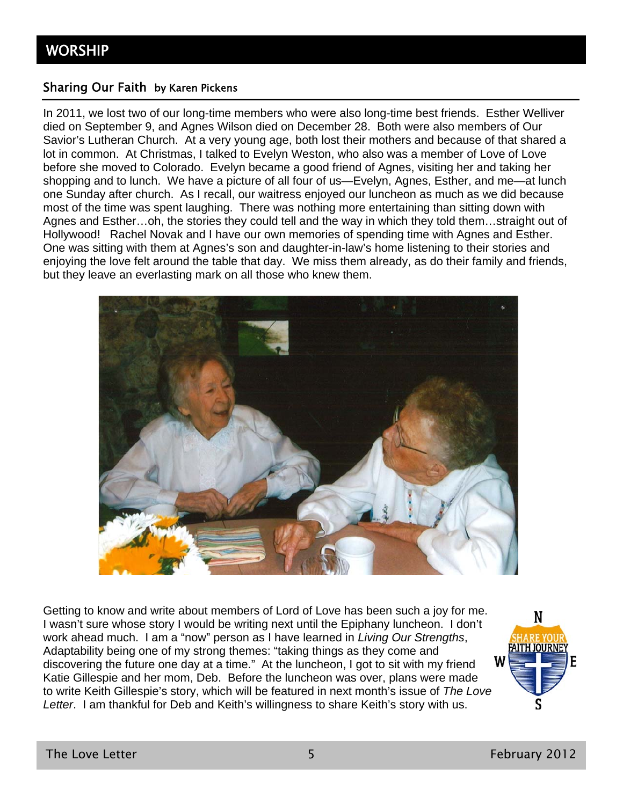#### Sharing Our Faith by Karen Pickens

In 2011, we lost two of our long-time members who were also long-time best friends. Esther Welliver died on September 9, and Agnes Wilson died on December 28. Both were also members of Our Savior's Lutheran Church. At a very young age, both lost their mothers and because of that shared a lot in common. At Christmas, I talked to Evelyn Weston, who also was a member of Love of Love before she moved to Colorado. Evelyn became a good friend of Agnes, visiting her and taking her shopping and to lunch. We have a picture of all four of us—Evelyn, Agnes, Esther, and me—at lunch one Sunday after church. As I recall, our waitress enjoyed our luncheon as much as we did because most of the time was spent laughing. There was nothing more entertaining than sitting down with Agnes and Esther…oh, the stories they could tell and the way in which they told them…straight out of Hollywood! Rachel Novak and I have our own memories of spending time with Agnes and Esther. One was sitting with them at Agnes's son and daughter-in-law's home listening to their stories and enjoying the love felt around the table that day. We miss them already, as do their family and friends, but they leave an everlasting mark on all those who knew them.



Getting to know and write about members of Lord of Love has been such a joy for me. I wasn't sure whose story I would be writing next until the Epiphany luncheon. I don't work ahead much. I am a "now" person as I have learned in *Living Our Strengths*, Adaptability being one of my strong themes: "taking things as they come and discovering the future one day at a time." At the luncheon, I got to sit with my friend Katie Gillespie and her mom, Deb. Before the luncheon was over, plans were made to write Keith Gillespie's story, which will be featured in next month's issue of *The Love Letter*. I am thankful for Deb and Keith's willingness to share Keith's story with us.

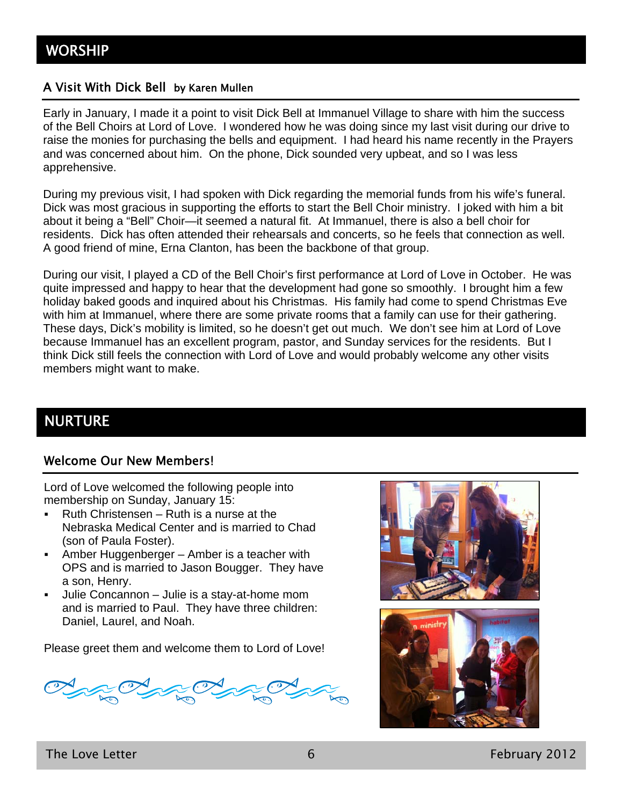#### A Visit With Dick Bell by Karen Mullen

Early in January, I made it a point to visit Dick Bell at Immanuel Village to share with him the success of the Bell Choirs at Lord of Love. I wondered how he was doing since my last visit during our drive to raise the monies for purchasing the bells and equipment. I had heard his name recently in the Prayers and was concerned about him. On the phone, Dick sounded very upbeat, and so I was less apprehensive.

During my previous visit, I had spoken with Dick regarding the memorial funds from his wife's funeral. Dick was most gracious in supporting the efforts to start the Bell Choir ministry. I joked with him a bit about it being a "Bell" Choir—it seemed a natural fit. At Immanuel, there is also a bell choir for residents. Dick has often attended their rehearsals and concerts, so he feels that connection as well. A good friend of mine, Erna Clanton, has been the backbone of that group.

During our visit, I played a CD of the Bell Choir's first performance at Lord of Love in October. He was quite impressed and happy to hear that the development had gone so smoothly. I brought him a few holiday baked goods and inquired about his Christmas. His family had come to spend Christmas Eve with him at Immanuel, where there are some private rooms that a family can use for their gathering. These days, Dick's mobility is limited, so he doesn't get out much. We don't see him at Lord of Love because Immanuel has an excellent program, pastor, and Sunday services for the residents. But I think Dick still feels the connection with Lord of Love and would probably welcome any other visits members might want to make.

# NURTURE

#### Welcome Our New Members!

Lord of Love welcomed the following people into membership on Sunday, January 15:

- Ruth Christensen Ruth is a nurse at the Nebraska Medical Center and is married to Chad (son of Paula Foster).
- Amber Huggenberger Amber is a teacher with OPS and is married to Jason Bougger. They have a son, Henry.
- Julie Concannon Julie is a stay-at-home mom and is married to Paul. They have three children: Daniel, Laurel, and Noah.

Please greet them and welcome them to Lord of Love!

 $\approx$  O

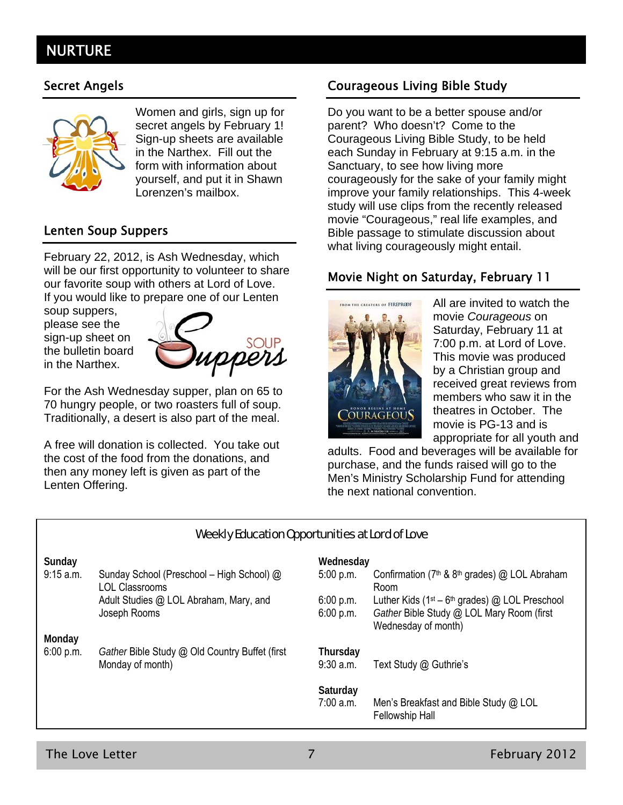# **NURTURE**



Women and girls, sign up for secret angels by February 1! Sign-up sheets are available in the Narthex. Fill out the form with information about yourself, and put it in Shawn Lorenzen's mailbox.

#### Lenten Soup Suppers

February 22, 2012, is Ash Wednesday, which will be our first opportunity to volunteer to share our favorite soup with others at Lord of Love. If you would like to prepare one of our Lenten

soup suppers, please see the sign-up sheet on the bulletin board in the Narthex.



For the Ash Wednesday supper, plan on 65 to 70 hungry people, or two roasters full of soup. Traditionally, a desert is also part of the meal.

A free will donation is collected. You take out the cost of the food from the donations, and then any money left is given as part of the Lenten Offering.

### Secret Angels **Courageous Living Bible Study**

Do you want to be a better spouse and/or parent? Who doesn't? Come to the Courageous Living Bible Study, to be held each Sunday in February at 9:15 a.m. in the Sanctuary, to see how living more courageously for the sake of your family might improve your family relationships. This 4-week study will use clips from the recently released movie "Courageous," real life examples, and Bible passage to stimulate discussion about what living courageously might entail.

#### Movie Night on Saturday, February 11



All are invited to watch the movie *Courageous* on Saturday, February 11 at 7:00 p.m. at Lord of Love. This movie was produced by a Christian group and received great reviews from members who saw it in the theatres in October. The movie is PG-13 and is appropriate for all youth and

adults. Food and beverages will be available for purchase, and the funds raised will go to the Men's Ministry Scholarship Fund for attending the next national convention.

#### Weekly Education Opportunities at Lord of Love

|                                                                    | Wednesday               |                                                                  |
|--------------------------------------------------------------------|-------------------------|------------------------------------------------------------------|
| Sunday School (Preschool - High School) @<br><b>LOL Classrooms</b> | 5:00 p.m.               | Confirmation ( $7th$ & $8th$ grades) @ LOL Abraham<br>Room       |
| Adult Studies @ LOL Abraham, Mary, and                             | 6:00 p.m.               | Luther Kids ( $1st - 6th$ grades) @ LOL Preschool                |
| Joseph Rooms                                                       | 6:00 p.m.               | Gather Bible Study @ LOL Mary Room (first<br>Wednesday of month) |
|                                                                    |                         |                                                                  |
| Gather Bible Study @ Old Country Buffet (first<br>Monday of month) | Thursday<br>$9:30$ a.m. | Text Study @ Guthrie's                                           |
|                                                                    | Saturday<br>$7:00$ a.m. | Men's Breakfast and Bible Study @ LOL<br><b>Fellowship Hall</b>  |
|                                                                    |                         |                                                                  |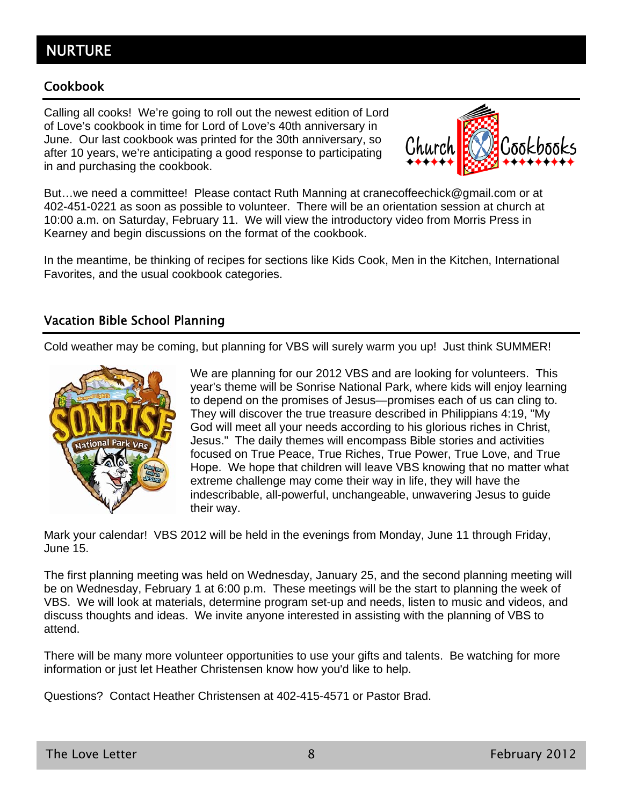# NURTURE

#### Cookbook

Calling all cooks! We're going to roll out the newest edition of Lord of Love's cookbook in time for Lord of Love's 40th anniversary in June. Our last cookbook was printed for the 30th anniversary, so after 10 years, we're anticipating a good response to participating in and purchasing the cookbook.



But…we need a committee! Please contact Ruth Manning at cranecoffeechick@gmail.com or at 402-451-0221 as soon as possible to volunteer. There will be an orientation session at church at 10:00 a.m. on Saturday, February 11. We will view the introductory video from Morris Press in Kearney and begin discussions on the format of the cookbook.

In the meantime, be thinking of recipes for sections like Kids Cook, Men in the Kitchen, International Favorites, and the usual cookbook categories.

#### Vacation Bible School Planning

Cold weather may be coming, but planning for VBS will surely warm you up! Just think SUMMER!



We are planning for our 2012 VBS and are looking for volunteers. This year's theme will be Sonrise National Park, where kids will enjoy learning to depend on the promises of Jesus—promises each of us can cling to. They will discover the true treasure described in Philippians 4:19, "My God will meet all your needs according to his glorious riches in Christ, Jesus." The daily themes will encompass Bible stories and activities focused on True Peace, True Riches, True Power, True Love, and True Hope. We hope that children will leave VBS knowing that no matter what extreme challenge may come their way in life, they will have the indescribable, all-powerful, unchangeable, unwavering Jesus to guide their way.

Mark your calendar! VBS 2012 will be held in the evenings from Monday, June 11 through Friday, June 15.

The first planning meeting was held on Wednesday, January 25, and the second planning meeting will be on Wednesday, February 1 at 6:00 p.m. These meetings will be the start to planning the week of VBS. We will look at materials, determine program set-up and needs, listen to music and videos, and discuss thoughts and ideas. We invite anyone interested in assisting with the planning of VBS to attend.

There will be many more volunteer opportunities to use your gifts and talents. Be watching for more information or just let Heather Christensen know how you'd like to help.

Questions? Contact Heather Christensen at 402-415-4571 or Pastor Brad.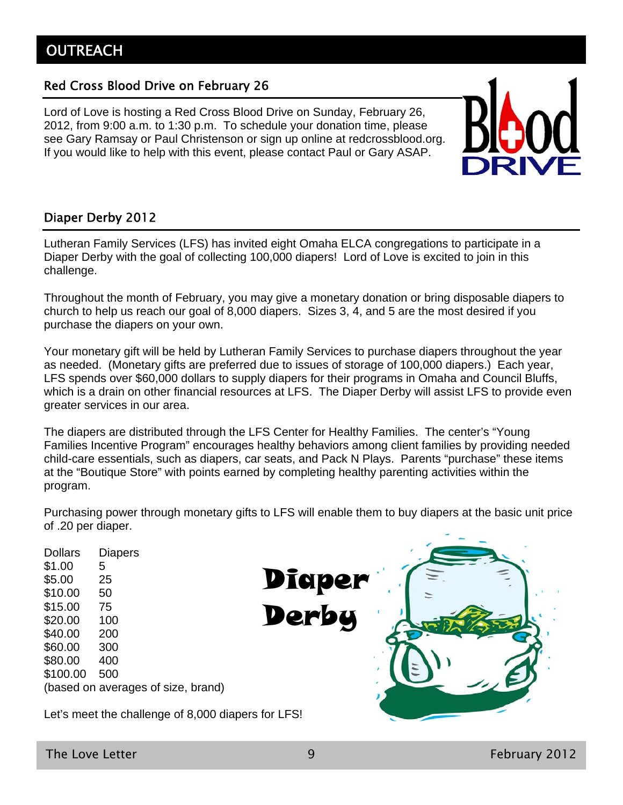### Red Cross Blood Drive on February 26

Lord of Love is hosting a Red Cross Blood Drive on Sunday, February 26, 2012, from 9:00 a.m. to 1:30 p.m. To schedule your donation time, please see Gary Ramsay or Paul Christenson or sign up online at redcrossblood.org. If you would like to help with this event, please contact Paul or Gary ASAP.



### Diaper Derby 2012

Lutheran Family Services (LFS) has invited eight Omaha ELCA congregations to participate in a Diaper Derby with the goal of collecting 100,000 diapers! Lord of Love is excited to join in this challenge.

Throughout the month of February, you may give a monetary donation or bring disposable diapers to church to help us reach our goal of 8,000 diapers. Sizes 3, 4, and 5 are the most desired if you purchase the diapers on your own.

Your monetary gift will be held by Lutheran Family Services to purchase diapers throughout the year as needed. (Monetary gifts are preferred due to issues of storage of 100,000 diapers.) Each year, LFS spends over \$60,000 dollars to supply diapers for their programs in Omaha and Council Bluffs, which is a drain on other financial resources at LFS. The Diaper Derby will assist LFS to provide even greater services in our area.

The diapers are distributed through the LFS Center for Healthy Families. The center's "Young Families Incentive Program" encourages healthy behaviors among client families by providing needed child-care essentials, such as diapers, car seats, and Pack N Plays. Parents "purchase" these items at the "Boutique Store" with points earned by completing healthy parenting activities within the program.

Purchasing power through monetary gifts to LFS will enable them to buy diapers at the basic unit price of .20 per diaper.

Dollars Diapers \$1.00 5 \$5.00 25 \$10.00 50 \$15.00 75 \$20.00 100 \$40.00 200 \$60.00 300 \$80.00 400 \$100.00 500 (based on averages of size, brand) Let's meet the challenge of 8,000 diapers for LFS! **Diaper** Derby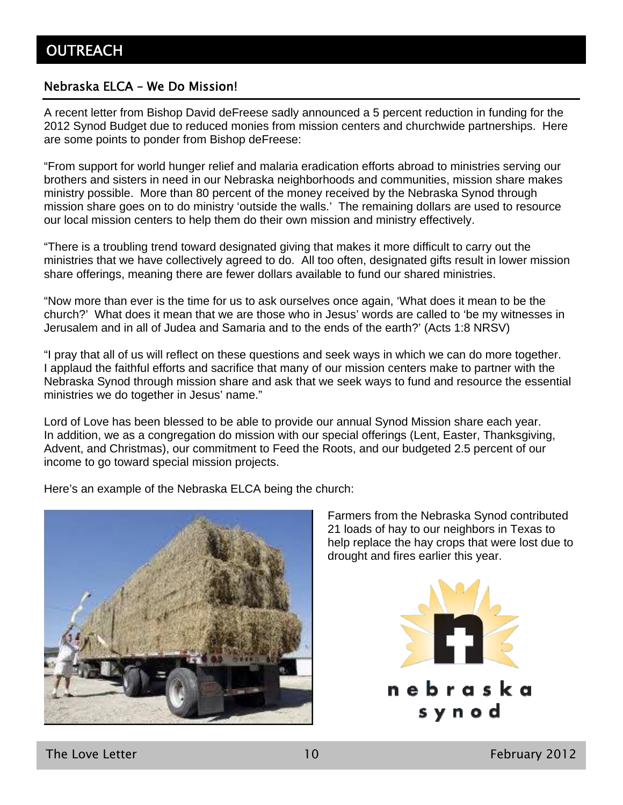#### Nebraska ELCA – We Do Mission!

A recent letter from Bishop David deFreese sadly announced a 5 percent reduction in funding for the 2012 Synod Budget due to reduced monies from mission centers and churchwide partnerships. Here are some points to ponder from Bishop deFreese:

"From support for world hunger relief and malaria eradication efforts abroad to ministries serving our brothers and sisters in need in our Nebraska neighborhoods and communities, mission share makes ministry possible. More than 80 percent of the money received by the Nebraska Synod through mission share goes on to do ministry 'outside the walls.' The remaining dollars are used to resource our local mission centers to help them do their own mission and ministry effectively.

"There is a troubling trend toward designated giving that makes it more difficult to carry out the ministries that we have collectively agreed to do. All too often, designated gifts result in lower mission share offerings, meaning there are fewer dollars available to fund our shared ministries.

"Now more than ever is the time for us to ask ourselves once again, 'What does it mean to be the church?' What does it mean that we are those who in Jesus' words are called to 'be my witnesses in Jerusalem and in all of Judea and Samaria and to the ends of the earth?' (Acts 1:8 NRSV)

"I pray that all of us will reflect on these questions and seek ways in which we can do more together. I applaud the faithful efforts and sacrifice that many of our mission centers make to partner with the Nebraska Synod through mission share and ask that we seek ways to fund and resource the essential ministries we do together in Jesus' name."

Lord of Love has been blessed to be able to provide our annual Synod Mission share each year. In addition, we as a congregation do mission with our special offerings (Lent, Easter, Thanksgiving, Advent, and Christmas), our commitment to Feed the Roots, and our budgeted 2.5 percent of our income to go toward special mission projects.

Here's an example of the Nebraska ELCA being the church:



Farmers from the Nebraska Synod contributed 21 loads of hay to our neighbors in Texas to help replace the hay crops that were lost due to drought and fires earlier this year.



The Love Letter **10** February 2012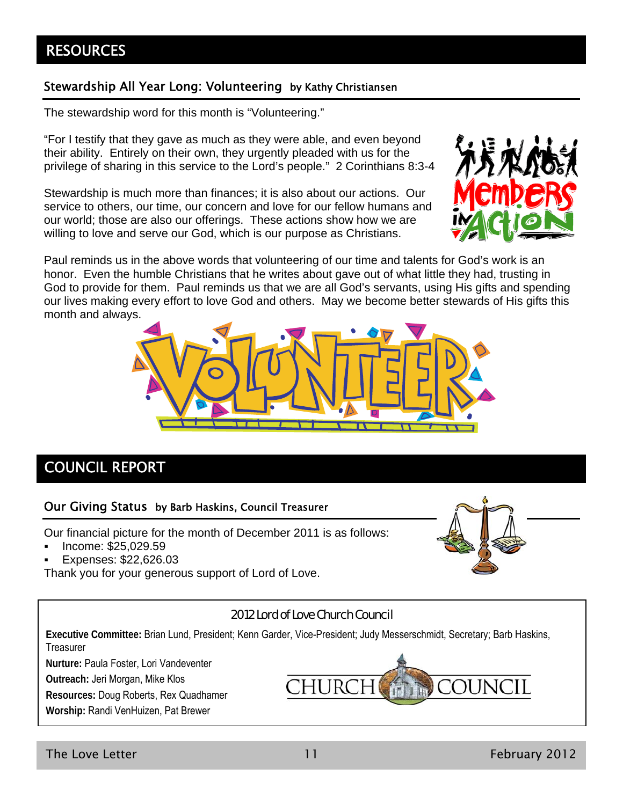# **RESOURCES**

#### Stewardship All Year Long: Volunteering by Kathy Christiansen

The stewardship word for this month is "Volunteering."

"For I testify that they gave as much as they were able, and even beyond their ability. Entirely on their own, they urgently pleaded with us for the privilege of sharing in this service to the Lord's people." 2 Corinthians 8:3-4

Stewardship is much more than finances; it is also about our actions. Our service to others, our time, our concern and love for our fellow humans and our world; those are also our offerings. These actions show how we are willing to love and serve our God, which is our purpose as Christians.



Paul reminds us in the above words that volunteering of our time and talents for God's work is an honor. Even the humble Christians that he writes about gave out of what little they had, trusting in God to provide for them. Paul reminds us that we are all God's servants, using His gifts and spending our lives making every effort to love God and others. May we become better stewards of His gifts this month and always.



# COUNCIL REPORT

#### Our Giving Status by Barb Haskins, Council Treasurer

Our financial picture for the month of December 2011 is as follows:

- Income: \$25,029.59
- Expenses: \$22,626.03

Thank you for your generous support of Lord of Love.



#### 2012 Lord of Love Church Council

**Executive Committee:** Brian Lund, President; Kenn Garder, Vice-President; Judy Messerschmidt, Secretary; Barb Haskins, **Treasurer** 

**Nurture:** Paula Foster, Lori Vandeventer

**Outreach:** Jeri Morgan, Mike Klos

**Resources:** Doug Roberts, Rex Quadhamer

**Worship:** Randi VenHuizen, Pat Brewer



The Love Letter **11** February 2012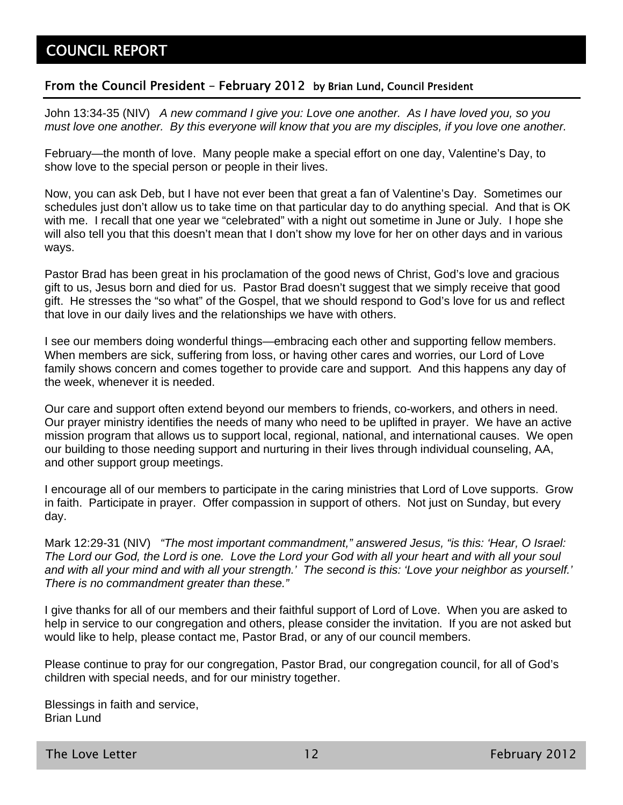#### From the Council President – February 2012 by Brian Lund, Council President

John 13:34-35 (NIV) *A new command I give you: Love one another. As I have loved you, so you must love one another. By this everyone will know that you are my disciples, if you love one another.*

February—the month of love. Many people make a special effort on one day, Valentine's Day, to show love to the special person or people in their lives.

Now, you can ask Deb, but I have not ever been that great a fan of Valentine's Day. Sometimes our schedules just don't allow us to take time on that particular day to do anything special. And that is OK with me. I recall that one year we "celebrated" with a night out sometime in June or July. I hope she will also tell you that this doesn't mean that I don't show my love for her on other days and in various ways.

Pastor Brad has been great in his proclamation of the good news of Christ, God's love and gracious gift to us, Jesus born and died for us. Pastor Brad doesn't suggest that we simply receive that good gift. He stresses the "so what" of the Gospel, that we should respond to God's love for us and reflect that love in our daily lives and the relationships we have with others.

I see our members doing wonderful things—embracing each other and supporting fellow members. When members are sick, suffering from loss, or having other cares and worries, our Lord of Love family shows concern and comes together to provide care and support. And this happens any day of the week, whenever it is needed.

Our care and support often extend beyond our members to friends, co-workers, and others in need. Our prayer ministry identifies the needs of many who need to be uplifted in prayer. We have an active mission program that allows us to support local, regional, national, and international causes. We open our building to those needing support and nurturing in their lives through individual counseling, AA, and other support group meetings.

I encourage all of our members to participate in the caring ministries that Lord of Love supports. Grow in faith. Participate in prayer. Offer compassion in support of others. Not just on Sunday, but every day.

Mark 12:29-31 (NIV) *"The most important commandment," answered Jesus, "is this: 'Hear, O Israel: The Lord our God, the Lord is one. Love the Lord your God with all your heart and with all your soul and with all your mind and with all your strength.' The second is this: 'Love your neighbor as yourself.' There is no commandment greater than these."*

I give thanks for all of our members and their faithful support of Lord of Love. When you are asked to help in service to our congregation and others, please consider the invitation. If you are not asked but would like to help, please contact me, Pastor Brad, or any of our council members.

Please continue to pray for our congregation, Pastor Brad, our congregation council, for all of God's children with special needs, and for our ministry together.

Blessings in faith and service, Brian Lund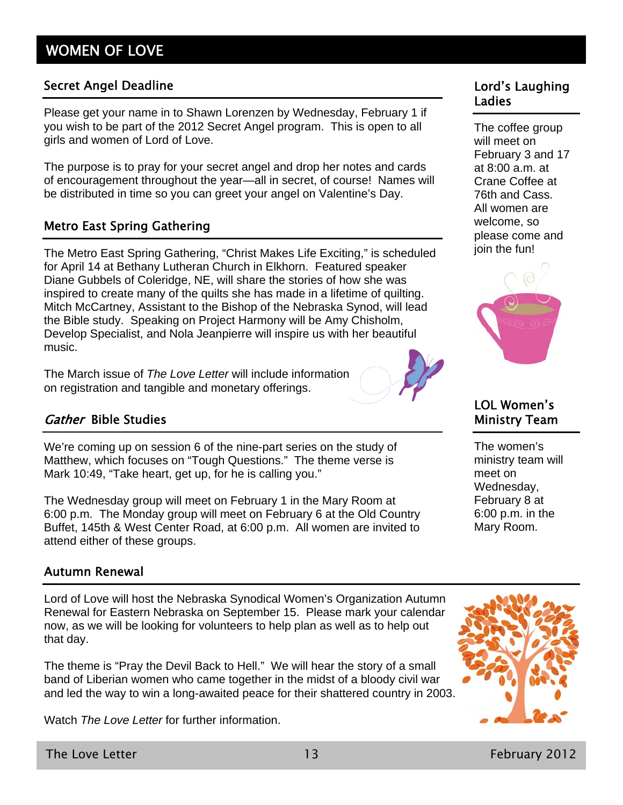#### Secret Angel Deadline Lord's Laughing

Please get your name in to Shawn Lorenzen by Wednesday, February 1 if you wish to be part of the 2012 Secret Angel program. This is open to all girls and women of Lord of Love.

The purpose is to pray for your secret angel and drop her notes and cards of encouragement throughout the year—all in secret, of course! Names will be distributed in time so you can greet your angel on Valentine's Day.

#### Metro East Spring Gathering

The Metro East Spring Gathering, "Christ Makes Life Exciting," is scheduled for April 14 at Bethany Lutheran Church in Elkhorn. Featured speaker Diane Gubbels of Coleridge, NE, will share the stories of how she was inspired to create many of the quilts she has made in a lifetime of quilting. Mitch McCartney, Assistant to the Bishop of the Nebraska Synod, will lead the Bible study. Speaking on Project Harmony will be Amy Chisholm, Develop Specialist, and Nola Jeanpierre will inspire us with her beautiful music.

The March issue of *The Love Letter* will include information on registration and tangible and monetary offerings.



### Gather Bible Studies

We're coming up on session 6 of the nine-part series on the study of Matthew, which focuses on "Tough Questions." The theme verse is Mark 10:49, "Take heart, get up, for he is calling you."

The Wednesday group will meet on February 1 in the Mary Room at 6:00 p.m. The Monday group will meet on February 6 at the Old Country Buffet, 145th & West Center Road, at 6:00 p.m. All women are invited to attend either of these groups.

#### Autumn Renewal

Lord of Love will host the Nebraska Synodical Women's Organization Autumn Renewal for Eastern Nebraska on September 15. Please mark your calendar now, as we will be looking for volunteers to help plan as well as to help out that day.

The theme is "Pray the Devil Back to Hell." We will hear the story of a small band of Liberian women who came together in the midst of a bloody civil war and led the way to win a long-awaited peace for their shattered country in 2003.

Watch *The Love Letter* for further information.

# Ladies

The coffee group will meet on February 3 and 17 at 8:00 a.m. at Crane Coffee at 76th and Cass. All women are welcome, so please come and join the fun!



### LOL Women's Ministry Team

The women's ministry team will meet on Wednesday, February 8 at 6:00 p.m. in the Mary Room.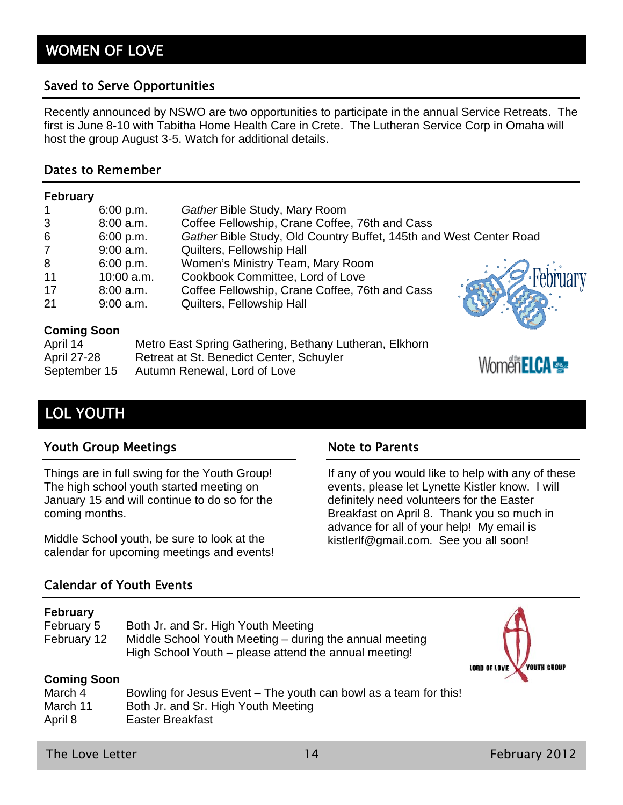#### Saved to Serve Opportunities

Recently announced by NSWO are two opportunities to participate in the annual Service Retreats. The first is June 8-10 with Tabitha Home Health Care in Crete. The Lutheran Service Corp in Omaha will host the group August 3-5. Watch for additional details.

#### Dates to Remember

#### **February**

|                | 6:00 p.m.    | Gather Bible Study, Mary Room                                      |            |
|----------------|--------------|--------------------------------------------------------------------|------------|
| 3              | $8:00$ a.m.  | Coffee Fellowship, Crane Coffee, 76th and Cass                     |            |
| 6              | 6:00 p.m.    | Gather Bible Study, Old Country Buffet, 145th and West Center Road |            |
| $\overline{7}$ | $9:00$ a.m.  | Quilters, Fellowship Hall                                          |            |
| 8              | 6:00 p.m.    | Women's Ministry Team, Mary Room                                   |            |
| 11             | $10:00$ a.m. | Cookbook Committee, Lord of Love                                   | - February |
| 17             | 8:00 a.m.    | Coffee Fellowship, Crane Coffee, 76th and Cass                     |            |
| 21             | $9:00$ a.m.  | Quilters, Fellowship Hall                                          |            |
|                |              |                                                                    |            |

#### **Coming Soon**

| April 14     | Metro East Spring Gathering, Bethany Lutheran, Elkhorn |
|--------------|--------------------------------------------------------|
| April 27-28  | Retreat at St. Benedict Center, Schuyler               |
| September 15 | Autumn Renewal, Lord of Love                           |

# LOL YOUTH

#### Youth Group Meetings Note to Parents

Things are in full swing for the Youth Group! The high school youth started meeting on January 15 and will continue to do so for the coming months.

Middle School youth, be sure to look at the calendar for upcoming meetings and events!

#### Calendar of Youth Events

#### **February**

| February 5  | Both Jr. and Sr. High Youth Meeting                     |
|-------------|---------------------------------------------------------|
| February 12 | Middle School Youth Meeting – during the annual meeting |
|             | High School Youth – please attend the annual meeting!   |



Women **ELCA** 

If any of you would like to help with any of these events, please let Lynette Kistler know. I will definitely need volunteers for the Easter Breakfast on April 8. Thank you so much in advance for all of your help! My email is kistlerlf@gmail.com. See you all soon!

#### **Coming Soon**

| March 4  | Bowling for Jesus Event – The youth can bowl as a team for this! |
|----------|------------------------------------------------------------------|
| March 11 | Both Jr. and Sr. High Youth Meeting                              |
| April 8  | Easter Breakfast                                                 |

The Love Letter **14** February 2012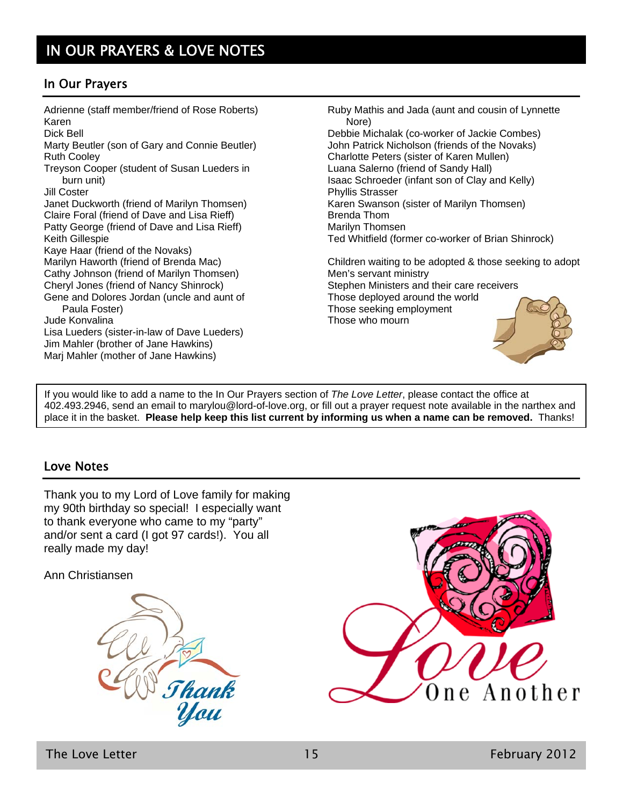### In Our Prayers

Adrienne (staff member/friend of Rose Roberts) Karen Dick Bell Marty Beutler (son of Gary and Connie Beutler) Ruth Cooley Treyson Cooper (student of Susan Lueders in burn unit) Jill Coster Janet Duckworth (friend of Marilyn Thomsen) Claire Foral (friend of Dave and Lisa Rieff) Patty George (friend of Dave and Lisa Rieff) Keith Gillespie Kaye Haar (friend of the Novaks) Marilyn Haworth (friend of Brenda Mac) Cathy Johnson (friend of Marilyn Thomsen) Cheryl Jones (friend of Nancy Shinrock) Gene and Dolores Jordan (uncle and aunt of Paula Foster) Jude Konvalina Lisa Lueders (sister-in-law of Dave Lueders) Jim Mahler (brother of Jane Hawkins) Marj Mahler (mother of Jane Hawkins)

Ruby Mathis and Jada (aunt and cousin of Lynnette Nore)

Debbie Michalak (co-worker of Jackie Combes) John Patrick Nicholson (friends of the Novaks) Charlotte Peters (sister of Karen Mullen) Luana Salerno (friend of Sandy Hall) Isaac Schroeder (infant son of Clay and Kelly) Phyllis Strasser Karen Swanson (sister of Marilyn Thomsen) Brenda Thom Marilyn Thomsen Ted Whitfield (former co-worker of Brian Shinrock)

Children waiting to be adopted & those seeking to adopt Men's servant ministry Stephen Ministers and their care receivers Those deployed around the world Those seeking employment Those who mourn

If you would like to add a name to the In Our Prayers section of *The Love Letter*, please contact the office at 402.493.2946, send an email to marylou@lord-of-love.org, or fill out a prayer request note available in the narthex and place it in the basket. **Please help keep this list current by informing us when a name can be removed.** Thanks!

#### Love Notes

Thank you to my Lord of Love family for making my 90th birthday so special! I especially want to thank everyone who came to my "party" and/or sent a card (I got 97 cards!). You all really made my day!

Ann Christiansen